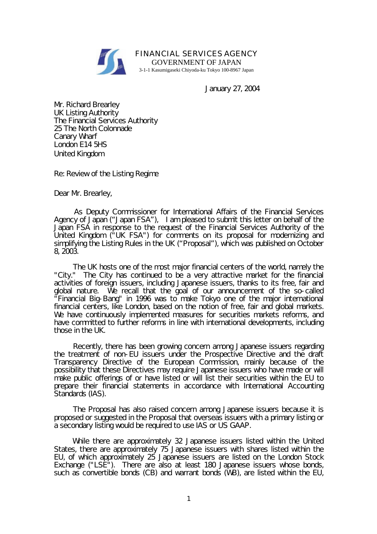

FINANCIAL SERVICES AGENCY GOVERNMENT OF JAPAN 3-1-1 Kasumigaseki Chiyoda-ku Tokyo 100-8967 Japan

January 27, 2004

Mr. Richard Brearley UK Listing Authority The Financial Services Authority 25 The North Colonnade Canary Wharf London E14 5HS United Kingdom

Re: Review of the Listing Regime

Dear Mr. Brearley,

 As Deputy Commissioner for International Affairs of the Financial Services Agency of Japan ("Japan FSA"), I am pleased to submit this letter on behalf of the Japan FSA in response to the request of the Financial Services Authority of the United Kingdom ("UK FSA") for comments on its proposal for modernizing and simplifying the Listing Rules in the UK ("Proposal"), which was published on October 8, 2003.

 The UK hosts one of the most major financial centers of the world, namely the "City." The City has continued to be a very attractive market for the financial activities of foreign issuers, including Japanese issuers, thanks to its free, fair and global nature. We recall that the goal of our announcement of the so-called "Financial Big-Bang" in 1996 was to make Tokyo one of the major international financial centers, like London, based on the notion of free, fair and global markets. We have continuously implemented measures for securities markets reforms, and have committed to further reforms in line with international developments, including those in the UK.

 Recently, there has been growing concern among Japanese issuers regarding the treatment of non-EU issuers under the Prospective Directive and the draft Transparency Directive of the European Commission, mainly because of the possibility that these Directives may require Japanese issuers who have made or will make public offerings of or have listed or will list their securities within the EU to prepare their financial statements in accordance with International Accounting Standards (IAS).

 The Proposal has also raised concern among Japanese issuers because it is proposed or suggested in the Proposal that overseas issuers with a primary listing or a secondary listing would be required to use IAS or US GAAP.

 While there are approximately 32 Japanese issuers listed within the United States, there are approximately 75 Japanese issuers with shares listed within the EU, of which approximately 25 Japanese issuers are listed on the London Stock Exchange ("LSE<sup>"</sup>). There are also at least 180 Japanese issuers whose bonds, such as convertible bonds (CB) and warrant bonds (WB), are listed within the EU,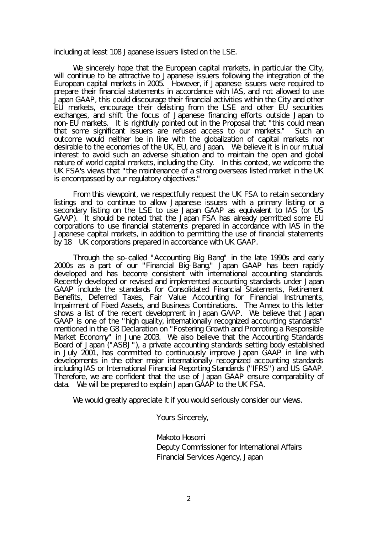including at least 108 Japanese issuers listed on the LSE.

 We sincerely hope that the European capital markets, in particular the City, will continue to be attractive to Japanese issuers following the integration of the European capital markets in 2005. However, if Japanese issuers were required to prepare their financial statements in accordance with IAS, and not allowed to use Japan GAAP, this could discourage their financial activities within the City and other EU markets, encourage their delisting from the LSE and other EU securities exchanges, and shift the focus of Japanese financing efforts outside Japan to non-EU markets. It is rightfully pointed out in the Proposal that "this could mean that some significant issuers are refused access to our markets." Such an outcome would neither be in line with the globalization of capital markets nor desirable to the economies of the UK, EU, and Japan. We believe it is in our mutual interest to avoid such an adverse situation and to maintain the open and global nature of world capital markets, including the City. In this context, we welcome the UK FSA's views that "the maintenance of a strong overseas listed market in the UK is encompassed by our regulatory objectives."

 From this viewpoint, we respectfully request the UK FSA to retain secondary listings and to continue to allow Japanese issuers with a primary listing or a secondary listing on the LSE to use Japan GAAP as equivalent to IAS (or US GAAP). It should be noted that the Japan FSA has already permitted some EU corporations to use financial statements prepared in accordance with IAS in the Japanese capital markets, in addition to permitting the use of financial statements by 18 UK corporations prepared in accordance with UK GAAP.

 Through the so-called "Accounting Big Bang" in the late 1990s and early 2000s as a part of our "Financial Big-Bang," Japan GAAP has been rapidly developed and has become consistent with international accounting standards. Recently developed or revised and implemented accounting standards under Japan GAAP include the standards for Consolidated Financial Statements, Retirement Benefits, Deferred Taxes, Fair Value Accounting for Financial Instruments, Impairment of Fixed Assets, and Business Combinations. The Annex to this letter shows a list of the recent development in Japan GAAP. We believe that Japan GAAP is one of the "high quality, internationally recognized accounting standards" mentioned in the G8 Declaration on "Fostering Growth and Promoting a Responsible Market Economy" in June 2003. We also believe that the Accounting Standards Board of Japan ("ASBJ"), a private accounting standards setting body established in July 2001, has committed to continuously improve Japan GAAP in line with developments in the other major internationally recognized accounting standards including IAS or International Financial Reporting Standards ("IFRS") and US GAAP. Therefore, we are confident that the use of Japan GAAP ensure comparability of data. We will be prepared to explain Japan GAAP to the UK FSA.

We would greatly appreciate it if you would seriously consider our views.

Yours Sincerely,

 Makoto Hosomi Deputy Commissioner for International Affairs Financial Services Agency, Japan